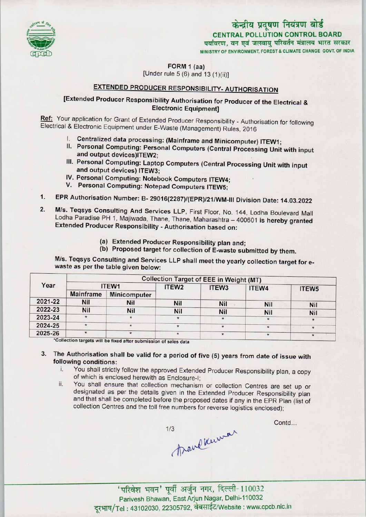

## केन्द्रीय प्रदूषण नियंत्रण बोर्ड CENTRAL POLLUTION CONTROL BOARD पर्यावरण, वन एवं जलवाय परिवर्तन मंत्रालय भारत सरकार MINISTRY OF ENVIRONMENT, FOREST & CLIMATE CHANGE GOVT OF INDIA

FORM 1 (aa)

[Under rule  $5(6)$  and  $13(1)(ii)$ ]

# EXTENDED PRODUCER RESPONSIBILITY-AUTHORISATION

# [Extended Producer Responsibility Authorisation for Producer of the Electrical & Electronic Equipment]

Ref: Your application for Grant of Extended Producer Responsibility - Authorisation for following Electrical & Electronic Equipment under E-Waste (Management) Rules. 2016

- I. Centralized data processing: (Mainframe and Minicomputer) ITEW1;
- II. Personal Computing: Personal Computers (Central Processing Unit with input and output devices)ITEW2;
- III. Personal Computing: Laptop Computers (Central Processing Unit with input and output devices) ITEW3;
- IV.Personal Computing: Notebook ComputersITEW4; V.Personal Computing: Notepad Computers ITEW5;
- 
- 1. EPR Authorisation Number: B- 29016(2287)/(EPR)/21/WM-III Division Date: 14.03.2022<br>1. EPR Authorisation Number: B- 29016(2287)/(EPR)/21/WM-III Division Date: 14.03.2022
- 2. EPR Authorisation Number: B- 29016(2287)/(EPR)/21/WM-III Division Date: 14.03.2022<br>2. M/s. Teqsys Consulting And Services LLP, First Floor, No. 144, Lodha Boulevard Mal M/s. Teqsys Consulting And Services LLP, First Floor, No. 144, Lodha Boulevard Mall<br>Lodha Paradise PH 1, Majiwada, Thane, Thane, Maharashtra - 400601 is hereby granted Extended Producer Responsibility - Authorisation based on:
	- (a)Extended Producer Responsibility plan and;
	- (b) Proposed target for collection of E-waste submitted by them.

M/s. Teqsys Consulting and Services LLP shall meet the yearly collection target for ewaste as per the table given below:

| Year    | <b>Collection Target of EEE in Weight (MT)</b> |                     |                   |                   |            |                   |
|---------|------------------------------------------------|---------------------|-------------------|-------------------|------------|-------------------|
|         | ITEW1                                          |                     | ITEW <sub>2</sub> | ITEW <sub>3</sub> | ITEW4      | ITEW <sub>5</sub> |
|         | <b>Mainframe</b>                               | <b>Minicomputer</b> |                   |                   |            |                   |
| 2021-22 | Nil                                            | Nil                 | Nil               | <b>Nil</b>        | <b>Nil</b> | Nil               |
| 2022-23 | <b>Nil</b>                                     | Nil                 | Nil               | <b>Nil</b>        | <b>Nil</b> | Nil               |
| 2023-24 | $\star$                                        | $\star$             | $\star$           |                   |            |                   |
| 2024-25 | $\star$                                        | $\star$             | $\star$           |                   | $\star$    |                   |
| 2025-26 |                                                | $\star$             |                   | $\star$           |            |                   |

'Collection targets will be fixed after submission of sales data

3. The Authorisation shall be valid for a period of five (5) years from date of issue with following conditions:<br>i. You shall strictly

- You shall strictly follow the approved Extended Producer Responsibility plan, a copy of which is enclosed herewith as Enclosure-I;
- ii. You shall ensure that collection mechanism or collection Centres are set up or designated as per the details given in the Extended Producer Responsibility plan and that shall be completed before the proposed dates if any in the EPR Plan (list of collection Centres and the toll free numbers for reverse logistics enclosed);

Brandkumar  $1/3$ 

Contd...

-<br>परिवेश भवन' पूर्वी अर्जुन नगर, दिल्ली-110032 Parivesh Bhawan, EastArjun Nagar, Delhi-110032 दूरभाष/Tel: 43102030, 22305792, वेबसाईट/Website : www.cpcb.nic.in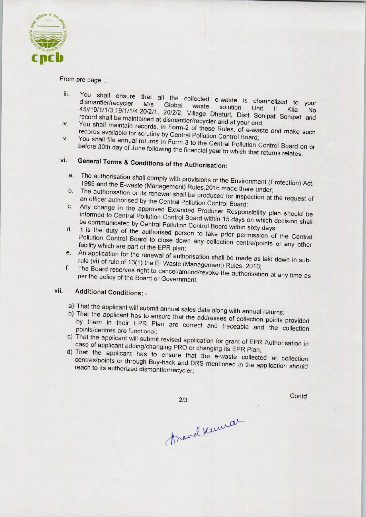

From pre page...

- ili. You shall ensure that all the collected e-waste is channelized to your control to your control to your control to your control to your control to your control to your control to your control to your control to your co You shall ensure that all the collected e-waste is channelized to your<br>dismantler/recycler M/s Global waste solution Unit II (i) 45//19/1/1/3,19/1/1/4,20/2/1, 20/2/2, Village Dhaturi, Distt Sonit II, Kila, No record shall be maintained at dismantler/recycler and at your Soc
- record shall be maintained at dismantler/recycler and at your end.<br>Iv. You shall maintain records, in Form-2 of these Rules, of e-waster<br>records available for scrutiny by Central Pollution Control Board; You shall maintain records, in Form-2 of these Rules, of e-waste and make such records available for scrutiny by Central Pollution Control Board;<br>V. You shall file annual returns in Form-3 to the Central Pollution Central D
- before 30th day of June following the financial year to which the Control Board of before 30th day of June following the financial year to which that returns relates.<br>vi. General Terms & Conditions of the Authorisation:

- a. The authorisation shall comply with provisions of the Environment (Protection) Act, 1986 and the E-waste (Management) Rules, 2016 made there under;<br>b. The authorisation or its renewal shall be produced for inspection at the request of
- The authorisation or its renewal shall be produced for inspection at the request of an officer authorised by the Central Pollution Control Board;
- an officer authorised by the Central Pollution Control Board;<br>
C. Any change in the approved Extended Producer Responsibility plan should be<br>
informed to Central Pollution Control Board within 15 days the communicated by Central Pollution Control Board within 15 days on which decision shall<br>d. It is the duty of the authorised person to take prior permission of the Central
- d. It is the duty of the authorised person to take prior permission of the Central Pollution Control Board to close down any collection centre/points or any other facility which are part of the EPR plan;
- e.An application for the renewal of authorisation shall be made as laid down in subrule (vi) of rule of 13(1) the E-Waste (Management) Rules, 2016;
- f.The Board reserves right to cancel/amend/revoke the authorisation at any time as per the policy of the Board or Government.

## vii. Additional Conditions: -

- a) That the applicant will submit annual sales data along with annual returns;
- b)That the applicant has to ensure that the addresses of collection points provided by them in their EPR Plan are correct and traceable and the collection of the collection of the correct and the condition points/centres are functional;
- points/centres are functional;<br>c) That the applicant will submit revised application for grant of EPR Authorisation in case of applicant adding/changing PRO or changing its EPR Plan;
- d)That the applicant has to ensure that the e-waste collected at collection centres/points or through Buy-back and DRS mentioned in the application should reach to its authorized dismantler/recycler;

 $2/3$ 

Contd

Anavelkuma